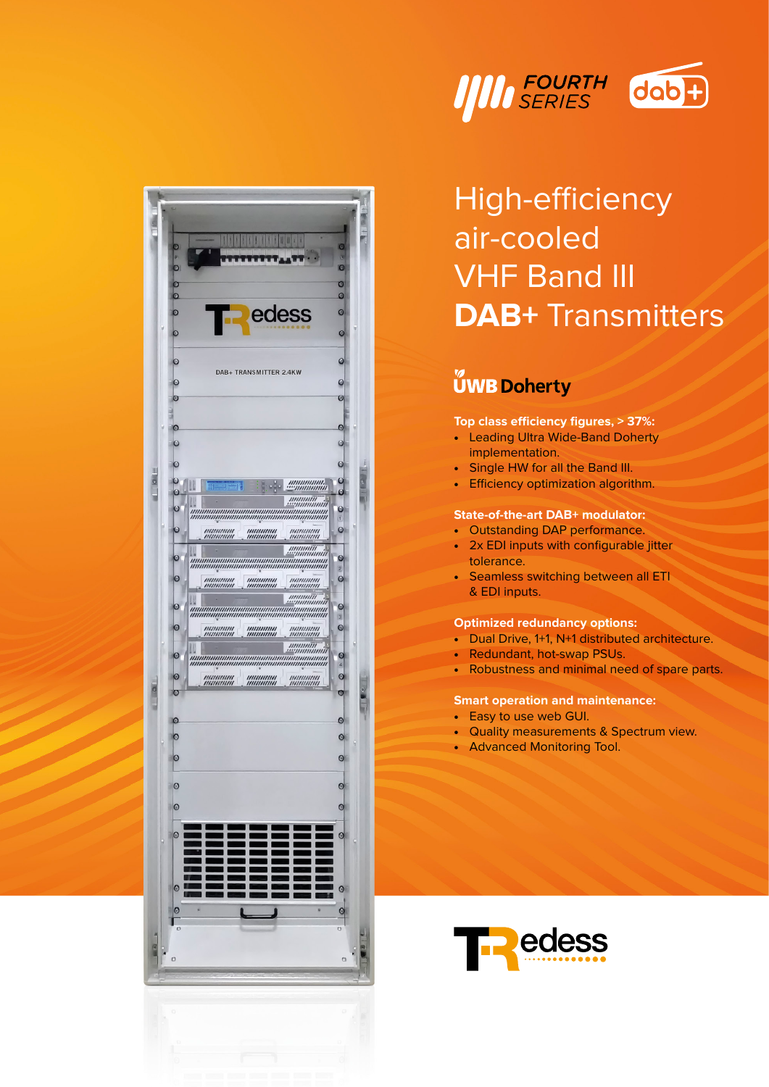



# High-efficiency air-cooled **VHF Band III DAB+** Transmitters

## **UWB Doherty**

#### Top class efficiency figures,  $> 37\%$ :

- Leading Ultra Wide-Band Doherty implementation.
- Single HW for all the Band III.
- Efficiency optimization algorithm.

#### **State-of-the-art DAB+ modulator:**

- Outstanding DAP performance.
- 2x EDI inputs with configurable jitter tolerance.
- Seamless switching between all ETI & EDI inputs.

#### **Optimized redundancy options:**

- Dual Drive, 1+1, N+1 distributed architecture.
- Redundant, hot-swap PSUs.
- Robustness and minimal need of spare parts.

#### **Smart operation and maintenance:**

- Easy to use web GUI.
- Quality measurements & Spectrum view.
- Advanced Monitoring Tool.